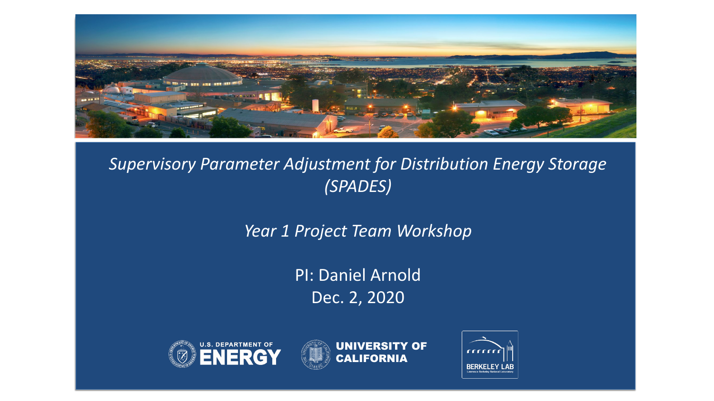UNIVERSITY OF CALIFORNIA



*Supervisory Parameter Adjustment for Distribution Energy Storage (SPADES)*



*Year 1 Project Team Workshop*

PI: Daniel Arnold Dec. 2, 2020

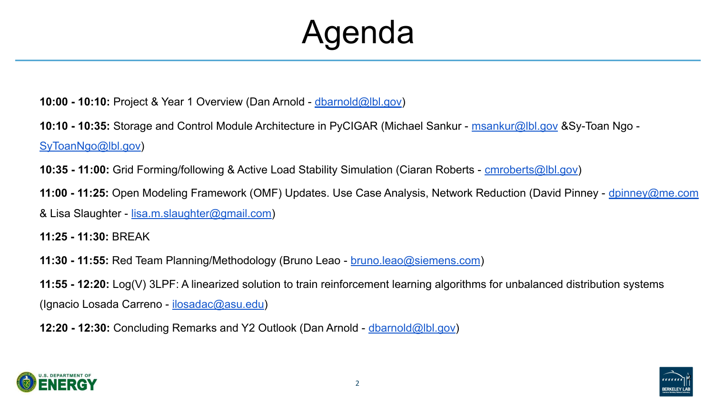- **10:00 10:10:** Project & Year 1 Overview (Dan Arnold [dbarnold@lbl.gov\)](mailto:dbarnold@lbl.gov) [SyToanNgo@lbl.gov\)](mailto:SyToanNgo@lbl.gov)
- **10:35 11:00:** Grid Forming/following & Active Load Stability Simulation (Ciaran Roberts [cmroberts@lbl.gov\)](mailto:cmroberts@lbl.gov)
- & Lisa Slaughter [lisa.m.slaughter@gmail.com](mailto:lisa.m.slaughter@gmail.com))
- **11:25 11:30:** BREAK
- **11:30 11:55:** Red Team Planning/Methodology (Bruno Leao [bruno.leao@siemens.com\)](mailto:bruno.leao@siemens.com)
- 
- (Ignacio Losada Carreno [ilosadac@asu.edu](mailto:ilosadac@asu.edu))
- **12:20 12:30: Concluding Remarks and Y2 Outlook (Dan Arnold [dbarnold@lbl.gov](mailto:dbarnold@lbl.gov))**





**10:10 - 10:35:** Storage and Control Module Architecture in PyCIGAR (Michael Sankur - [msankur@lbl.gov](mailto:msankur@lbl.gov) &Sy-Toan Ngo -

11:00 - 11:25: Open Modeling Framework (OMF) Updates. Use Case Analysis, Network Reduction (David Pinney - [dpinney@me.com](mailto:dpinney@me.com)

**11:55 - 12:20:** Log(V) 3LPF: A linearized solution to train reinforcement learning algorithms for unbalanced distribution systems

### Agenda

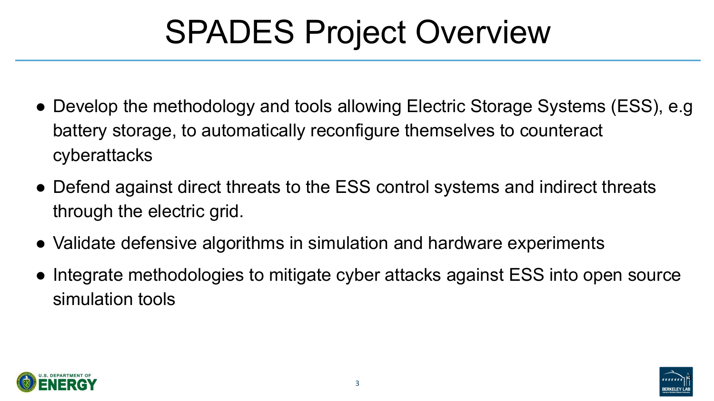



- Develop the methodology and tools allowing Electric Storage Systems (ESS), e.g battery storage, to automatically reconfigure themselves to counteract cyberattacks
- Defend against direct threats to the ESS control systems and indirect threats through the electric grid.
- Validate defensive algorithms in simulation and hardware experiments
- Integrate methodologies to mitigate cyber attacks against ESS into open source simulation tools





# SPADES Project Overview

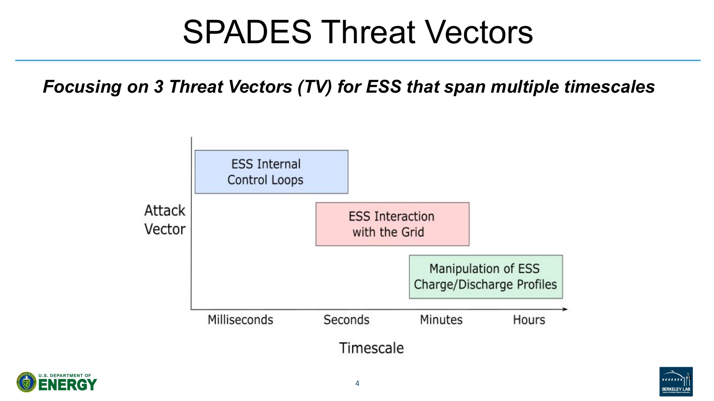#### SPADES Threat Vectors



#### *Focusing on 3 Threat Vectors (TV) for ESS that span multiple timescales*





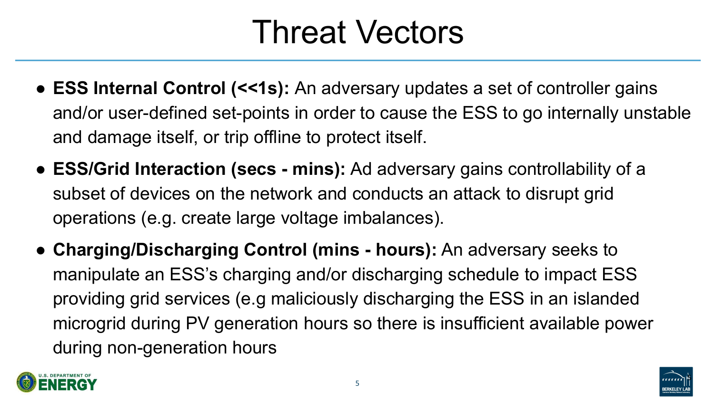

• **ESS Internal Control (<<1s):** An adversary updates a set of controller gains and/or user-defined set-points in order to cause the ESS to go internally unstable

● **ESS/Grid Interaction (secs - mins):** Ad adversary gains controllability of a

- and damage itself, or trip offline to protect itself.
- subset of devices on the network and conducts an attack to disrupt grid operations (e.g. create large voltage imbalances).
- **Charging/Discharging Control (mins hours):** An adversary seeks to during non-generation hours



manipulate an ESS's charging and/or discharging schedule to impact ESS providing grid services (e.g maliciously discharging the ESS in an islanded microgrid during PV generation hours so there is insufficient available power

### Threat Vectors

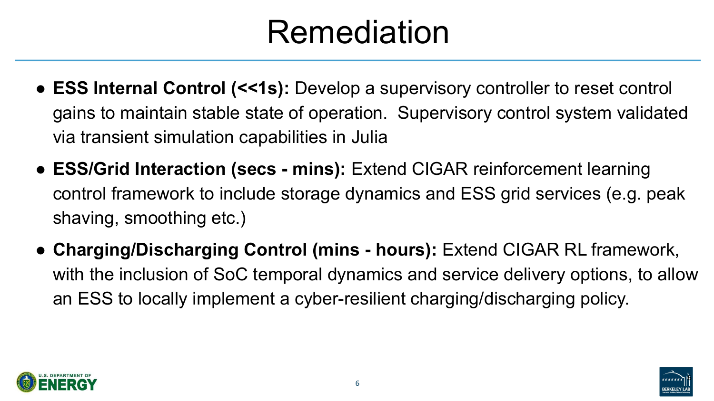





#### Remediation



● **ESS Internal Control (<<1s):** Develop a supervisory controller to reset control gains to maintain stable state of operation. Supervisory control system validated

- via transient simulation capabilities in Julia
- shaving, smoothing etc.)
- 



● **ESS/Grid Interaction (secs - mins):** Extend CIGAR reinforcement learning control framework to include storage dynamics and ESS grid services (e.g. peak

● **Charging/Discharging Control (mins - hours):** Extend CIGAR RL framework, with the inclusion of SoC temporal dynamics and service delivery options, to allow an ESS to locally implement a cyber-resilient charging/discharging policy.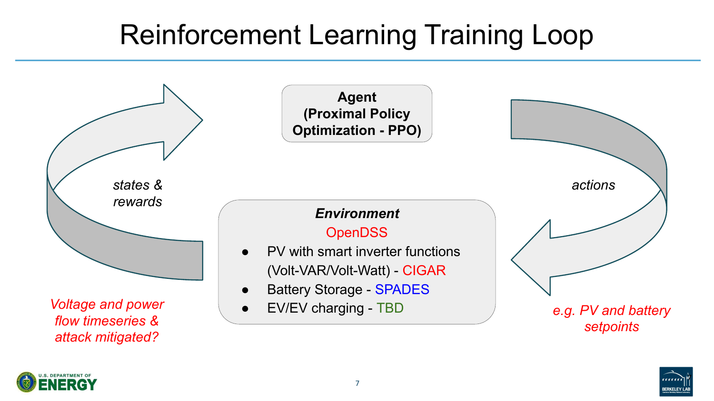

**Agent (Proximal Policy Optimization - PPO)**

#### *Environment*

#### **OpenDSS**

- PV with smart inverter functions
	- (Volt-VAR/Volt-Watt) CIGAR
	- **Battery Storage SPADES** 
		-







#### Reinforcement Learning Training Loop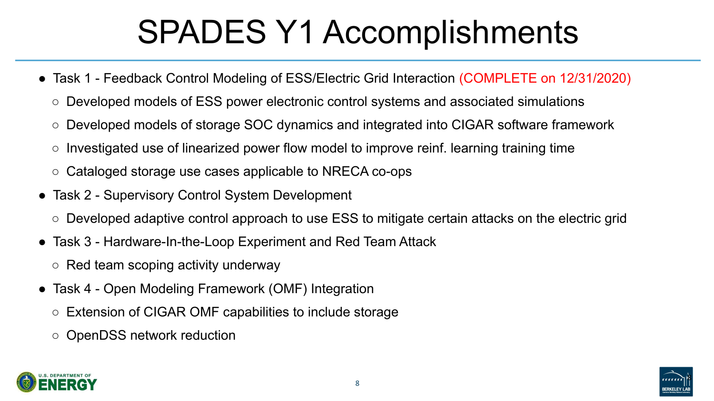# SPADES Y1 Accomplishments



- Task 1 Feedback Control Modeling of ESS/Electric Grid Interaction (COMPLETE on 12/31/2020)
	- Developed models of ESS power electronic control systems and associated simulations
	- Developed models of storage SOC dynamics and integrated into CIGAR software framework
	- Investigated use of linearized power flow model to improve reinf. learning training time
	- Cataloged storage use cases applicable to NRECA co-ops
- Task 2 Supervisory Control System Development
	- Developed adaptive control approach to use ESS to mitigate certain attacks on the electric grid
- Task 3 Hardware-In-the-Loop Experiment and Red Team Attack ○ Red team scoping activity underway
- Task 4 Open Modeling Framework (OMF) Integration
	- Extension of CIGAR OMF capabilities to include storage
	- OpenDSS network reduction